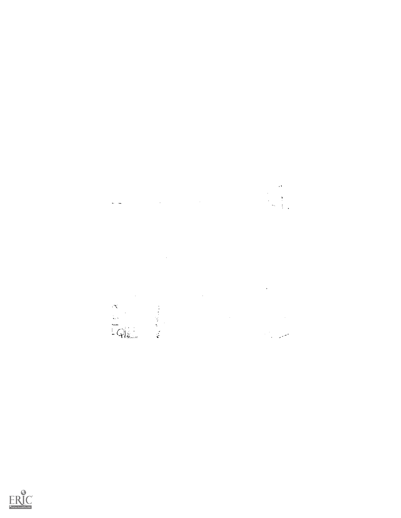

 $\mathcal{L}^{\text{max}}_{\text{max}}$ 

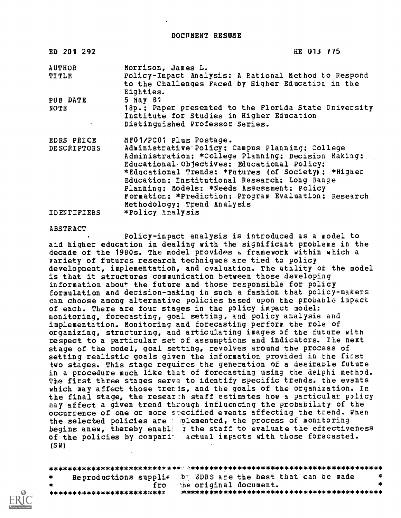| ED 201 292         | HE 013 775                                            |
|--------------------|-------------------------------------------------------|
| AUTHOR             | Morrison, James L.                                    |
| TITLE              | Policy-Lapact Analysis: A Rational Method to Respond  |
|                    | to the Challenges Faced by Higher Education in the    |
|                    | Eighties.                                             |
| <b>PUB DATE</b>    | $5$ May $81$                                          |
| NOTE               | 18p.: Paper presented to the Florida State University |
|                    | Institute for Studies in Higher Education             |
|                    | Distinguished Professor Series.                       |
| EDRS PRICE         | MF01/PC01 Plus Postage.                               |
| <b>DESCRIPTORS</b> | Administrative Policy: Campus Planning; College       |
|                    | Administration; *College Planning; Decision Making;   |
|                    | Educational Objectives; Educational Policy;           |
|                    | *Educational Trends: *Futures (of Society) ; *Higher  |
|                    | Education: Institutional Research; Long Range         |
|                    | Planning: Models; *Needs Assessment; Policy           |
|                    | Formation: *Prediction: Program Evaluation: Research  |
|                    | Methodology; Trend Analysis                           |
|                    |                                                       |

IDENTIFIERS \*Policy Analysis

#### ABSTRACT

Policy-impact analysis is introduced as a model to aid higher education in dealing with the significant problems in the decade of the 1980s. The model provides a framework within which a variety of futures research techniques are tied to policy development, implementation, and evaluation. The utility of the model is that it structures communication between those developing information about the future and those responsible for policy formulation and decision-making in such a fashion that policy-makers can choose among alternative policies based upon the probable impact of each. There are four stages in the policy impact model: monitoring, forecasting, goal setting, and policy analysis and implementation. Monitoring and forecasting perform the role of organizing, structuring, and articulating images of the future with respect to a particular set of assumptions and indicators. The next stage of the model, goal setting, revolves around the process of setting realistic goals given the information provided in the first two stages. This stage requires the generation df a desirable future in a procedure much like that of forecasting using the delphi method. The first three stages serve to identify specific trends, the events which may affect those trends, and the goals of the organization. In the final stage, the research staff estimates how a particular policy may affect a given trend through influencing the probability of the occurrence of one or more s-ecified events affecting the trend. When the selected policies are pulemented, the process of monitoring begins anew, thereby enabl: g the staff to evaluate the effectiveness of the policies by compari- actual impacts with those forecasted. (SW)

\*\*\*\*\*\*\*\*\*\*\*\*\*\*\*\*\*\*\*\*\*\*\*\*\*\*\*\*\*\*\*\*\*\*\*\*\*\*\*\*\*\*\*\*\*\*\*\*\*\*\*\*\*\*\*\*\*\*\*\*\*\*\*\*\*\*\*\*\* Reproductions supplie  $h$  ?DRS are the best that can be made  $*$   $*$ \* fro tile original document. \* \*\*\*\*\*\*\*\*\*\*\*\*\*\*\*\*\*\*\*\*\*\*\*\*z .\*\*\*\*\*\*\*\*\*\*\*\*\*\*\*\*\*\*\*\*\*\*\*\*\*\*\*\*\*\*\*\*\*\*\*\*\*\*\*\*\*\*\*

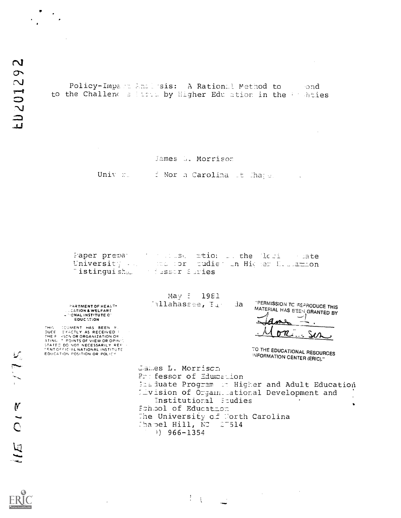Policy-Impact And Ursis: A Rational Method to – ond to the Challend s Paris by Higher Education in the Prohties

James D. Morrison

Univ m

of Nor a Carolina at Character

Paper preparation of the state and the local contracts of the University of the State contract of the state of University Tistinguishe fessor Series

> $\text{May}$   $\bar{z}$ 1981 Inllahassee, Fur

> > ł,  $\sim 1$

"PERMISSION TO REPRODUCE THIS MATERIAL HAS ETEN GRANTED BY

Ser

TO THE EDUCATIONAL RESOURCES INFORMATION CENTER (ERIC)."

 $\sim 10^7$ 

 $\sim 10^{-10}$ 

James L. Morrisch Professor of Education Braduate Program in Higher and Adult Education Division of Orgam. ational Development and Institutional Studies Foh.ool of Education The University of North Carolina Thapel Hill, NT 27514  $)$  966-1354

 $\mathsf{da}$ 

**PARTMENT OF HEALTY LEATION & WELFARE EDUCATION** 

THIS COMENT HAS BEEN R.<br>DUCE EXACTLY AS RECEIVED F.<br>THE P -SON OR ORGANIZATION OR .<br>ATING TO DINTS OF VIEW OR OPINE.<br>STATED DO NOT NECESSARILY REP.<br>"ENTOFFIC-AL NATIONAL INSTITUTE. EDUCATION POSITION OR POLICY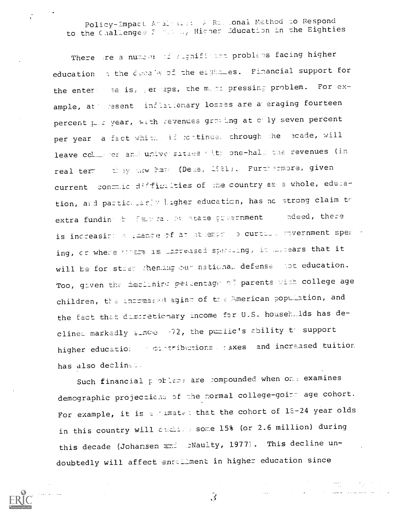Policy-Impact Amalmais: 2 Raylonal Method do Respond to the Challenges F with Higher Education in the Eighties

There are a numear of sughiff and problems facing higher education I the dows we af the eightles. Financial support for the enterm se is, per aps, the must pressing problem. For example, at resent inflationary losses are a eraging fourteen percent I rear, with revenues growing at only seven percent per year a fact which is motinued through the scade, will leave col these and universities with one-hald the revenues (in real term they haw have (Dele, 1981). Furthermore, given current conmulc difficalties of the country as a whole, education, and particularly higher education, has no strong claim to extra funding by factor where greenment and adeed, there is increasing a common of an atpention curticular perpendent sper in ing, or where there is uncreased sparaling, it mudears that it will be for strer thending our national defense tot education. Too, given the declining persentage of parents with college age children, the increased aging of the American population, and the fact that disinetionary income for U.S. households has declined markedly since 72, the pumic's ability the support higher educatio: contributions taxes and increased tuition has also decliness.

Such financial poblems are compounded when one examines demographic projections of the normal college-goint age cohort. For example, it is a functed that the cohort of 18-24 year olds in this country will define some 15% (or 2.6 million) during this decade (Johansen = cNaulty, 1977). This decline undoubtedly will affect enrothment in higher education since

 $\mathcal{L}$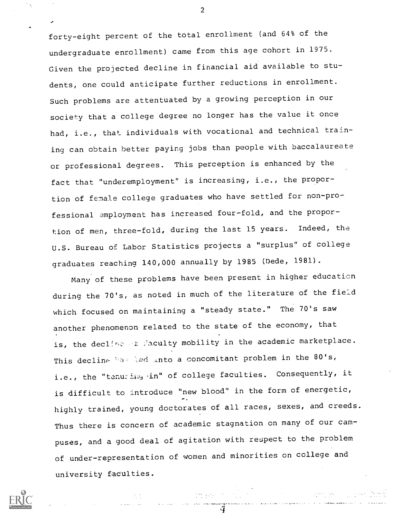forty-eight percent of the total enrollment (and 64% of the undergraduate enrollment) came from this age cohort in 1975. Given the projected decline in financial aid available to students, one could anticipate further reductions in enrollment. Such problems are attentuated by a growing perception in our society that a college degree no longer has the value it once had, i.e., that individuals with vocational and technical training can obtain better paying jobs than people with baccalaureate or professional degrees. This perception is enhanced by the fact that "underemployment" is increasing, i.e., the proportion of female college graduates who have settled for non-professional employment has increased four-fold, and the proportion of men, three-fold, during the last 15 years. Indeed, the U.S. Bureau of Labor Statistics projects a "surplus" of college graduates reaching 140,000 annually by 1985 (Dede, 1981).

Many of these problems have been present in higher education during the 70's, as noted in much of the literature of the field which focused on maintaining a "steady state." The 70's saw another phenomenon related to the state of the economy, that is, the decline at faculty mobility in the academic marketplace. This decline has led into a concomitant problem in the 80's, i.e., the "tenuring in" of college faculties. Consequently, it is difficult to introduce "new blood" in the form of energetic, highly trained, young doctorates of all races, sexes, and creeds. Thus there is concern of academic stagnation on many of our campuses, and a good deal of agitation with respect to the problem of under-representation of women and minorities on college and university faculties.

 $\mathcal{S}_{\mathcal{A}}$ 

 $\hat{\mathbf{a}}$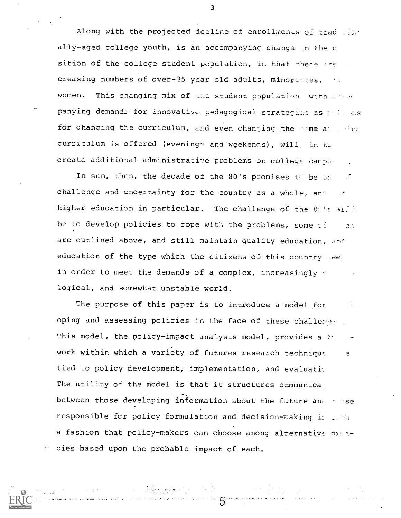Along with the projected decline of enrollments of trad gior ally-aged college youth, is an accompanying change in the c sition of the college student population, in that there are creasing numbers of over-35 year old adults, minorities, women. This changing mix of the student population with the panying demands for innovative pedagogical stratecies as well as for changing the curriculum, and even changing the same as a stor curriculum is offered (evenings and weekends), will in tucreate additional administrative problems on college campu-

In sum, then, the decade of the 80's promises to be on  $f$ challenge and uncertainty for the country as a whole, and r higher education in particular. The challenge of the 80  $\frac{1}{2}$  will be to develop policies to cope with the problems, some of a chi are outlined above, and still maintain quality education, and education of the type which the citizens of this country  $|ee\rangle$ in order to meet the demands of a complex, increasingly t logical, and somewhat unstable world.

The purpose of this paper is to introduce a model for the oping and assessing policies in the face of these challerges. This model, the policy-impact analysis model, provides a fwork within which a variety of futures research technique tied to policy development, implementation, and evaluation The utility of the model is that it structures communica. between those developing information about the future and separation responsible for policy formulation and decision-making i: so the a fashion that policy-makers can choose among alternative pasicies based upon the probable impact of each.

e de la companya de la companya de la companya de la companya de la companya de la companya de la companya de<br>Estado de la companya de la companya de la companya de la companya de la Companya de la companya de la company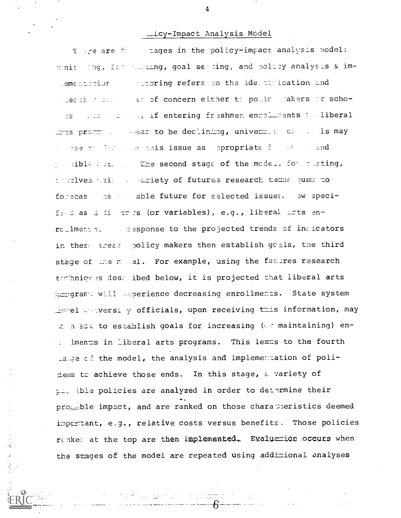## \_icy-Impact Analysis Model

There are for the stages in the policy-impact analysis model: menit ing, for the ting, goal secting, and policy analysis & imlementrian - arring refers to the identification and wheation of the same of concern either to polic cakers or schoand for the series, if entering freshmen enrollments is liberal more process as seemed be declining, university of the ls may ase to facili an this issue as appropriate finishing and possible ast. . The second stage of the model, for custing, invalves wait a variety of futures research temm jues to forecast he thable future for selected issues, ow specifight as idiators (or variables), e.g., liberal mots enroulments. The response to the projected trends of indicators in these areas policy makers then establish goals, the third stage of the mittal. For example, using the futures research technicalles described below, it is projected that liberal arts semigrams will experience decreasing enrollments. State system level warversiny officials, upon receiving this information, may the act to establish goals for increasing (or maintaining) en-In iments in liberal arts programs. This lears to the fourth tdige of the model, the analysis and implementation of poliies to achieve those ends. In this stage, a variety of polition are analyzed in order to determine their prossible impact, and are ranked on those chara meristics deemed important, e.g., relative costs versus benefits. Those policies ranked at the top are then implemented. Evaluation occurs when the stages of the model are repeated using addicional analyses

Ä.

 $\overline{4}$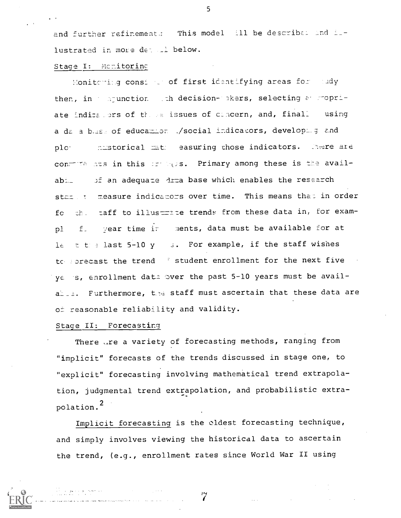and further refinements This model (ill be described and inlustrated in more det al below.

Stage I: Monitoring

Monitoning consider of first identifying areas for tudy then, in agunction oth decision-takers, selecting a mopriate inditators of these issues of concern, and, finally using a da a bluse of education ./social indicators, developing and mustorical mate easuring those indicators. There are plc. contrina his in this in eggs. Primary among these is the availof an adequate dra base which enables the research  $ab_{--}$ star to measure indicators over time. This means that in order th. taff to illustrate trends from these data in, for exam $f_{\rm C}$ pl f. year time in ments, data must be available for at le t t a last 5-10 y s. For example, if the staff wishes to a precast the trend as student enrollment for the next five ye is, enrollment data over the past 5-10 years must be availalle. Furthermore, the staff must ascertain that these data are of reasonable reliability and validity.

## Stage II: Forecasting

There are a variety of forecasting methods, ranging from "implicit" forecasts of the trends discussed in stage one, to "explicit" forecasting involving mathematical trend extrapolation, judgmental trend extrapolation, and probabilistic extrapolation.<sup>2</sup>

Implicit forecasting is the eldest forecasting technique, and simply involves viewing the historical data to ascertain the trend, (e.g., enrollment rates since World War II using



5

 $\overline{7}$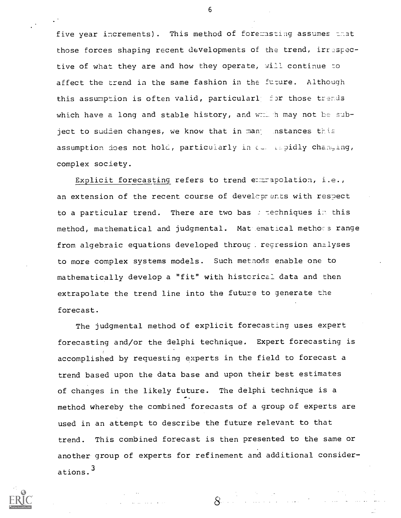five year increments). This method of forecasting assumes that those forces shaping recent developments of the trend, irrespective of what they are and how they operate, will continue to affect the trend in the same fashion in the future. Although this assumption is often valid, particularly for those trends which have a long and stable history, and will h may not be subject to sudden changes, we know that in maning nstances this assumption does not hold, particularly in communicy changing, complex society.

Explicit forecasting refers to trend extrapolation, i.e., an extension of the recent course of developments with respect to a particular trend. There are two bas  $\pm$  techniques in this method, mathematical and judgmental. Mat ematical methoss range from algebraic equations developed throuc regression analyses to more complex systems models. Such methods enable one to mathematically develop a "fit" with historical data and then extrapolate the trend line into the future to generate the forecast.

The judgmental method of explicit forecasting uses expert forecasting and/or the delphi technique. Expert forecasting is accomplished by requesting experts in the field to forecast a trend based upon the data base and upon their best estimates of changes in the likely future. The delphi technique is a method whereby the combined forecasts of a group of experts are used in an attempt to describe the future relevant to that trend. This combined forecast is then presented to the same or another group of experts for refinement and additional considerations. <sup>3</sup>

 $8-$ 

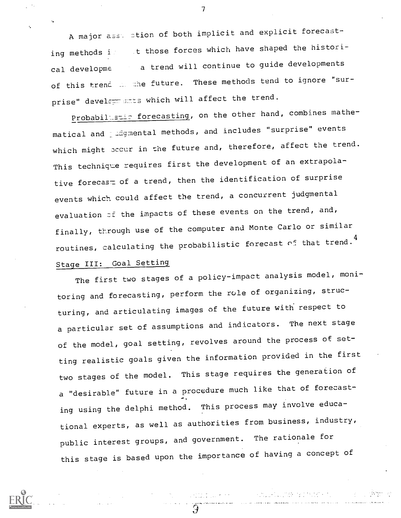A major asse otion of both implicit and explicit forecasting methods i those forces which have shaped the historical developme a trend will continue to guide developments of this trend ... the future. These methods tend to ignore "surprise" developments which will affect the trend.

Probabills: forecasting, on the other hand, combines mathematical and pudgmental methods, and includes "surprise" events which might occur in the future and, therefore, affect the trend. This technique requires first the development of an extrapolative forecast of a trend, then the identification of surprise events which could affect the trend, a concurrent judgmental evaluation  $\exists$  f the impacts of these events on the trend, and, finally, through use of the computer and Monte Carlo or similar routines, calculating the probabilistic forecast of that trend.<sup>4</sup> Stage III: Goal Setting

The first two stages of a policy-impact analysis model, monitoring and forecasting, perform the role of organizing, structuring, and articulating images of the future with respect to a particular set of assumptions and indicators. The next stage of the model, goal setting, revolves around the process of setting realistic goals given the information provided in the first two stages of the model. This stage requires the generation of a "desirable" future in a procedure much like that of forecasting using the delphi method. This process may involve educational experts, as well as authorities from business, industry, public interest groups, and government. The rationale for this stage is based upon the importance of having a concept of

k.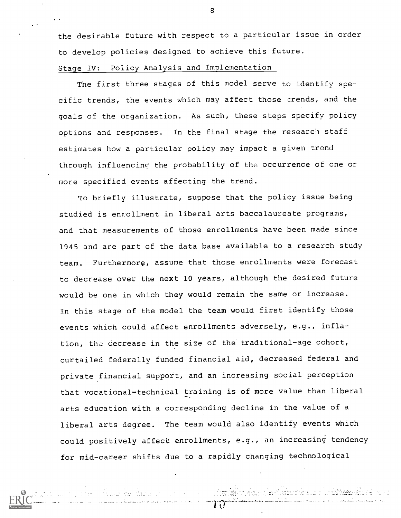the desirable future with respect to a particular issue in order to develop policies designed to achieve this future. Stage IV: Policy Analysis and Implementation

The first three stages of this model serve to identify specific trends, the events which may affect those trends, and the goals of the organization. As such, these steps specify policy options and responses. In the final stage the research staff estimates how a particular policy may impact a given trend through influencing the probability of the occurrence of one or more specified events affecting the trend.

To briefly illustrate, suppose that the policy issue being studied is enrollment in liberal arts baccalaureate programs, and that measurements of those enrollments have been made since 1945 and are part of the data base available to a research study team. Furthermore, assume that those enrollments were forecast to decrease over the next 10 years, although the desired future would be one in which they would remain the same or increase. In this stage of the model the team would first identify those events which could affect enrollments adversely, e.g., inflation, the decrease in the size of the traditional-age cohort, curtailed federally funded financial aid, decreased federal and private financial support, and an increasing social perception that vocational-technical training is of more value than liberal arts education with a corresponding decline in the value of a liberal arts degree. The team would also identify events which could positively affect enrollments, e.g., an increasing tendency for mid-career shifts due to a rapidly changing technological

 $10^{-12}$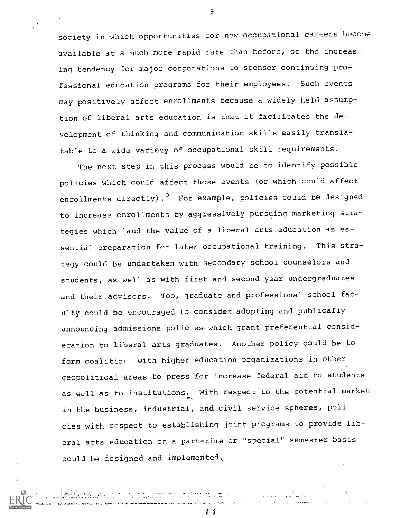society in which opportunities for new occupational careers become available at a much more rapid rate than before, or the increasing tendency for major corporations to sponsor continuing professional education programs for their employees. Such events may positively affect enrollments because a widely held assumption of liberal arts education is that it facilitates the development of thinking and communication skills easily translatable to a wide variety of occupational skill requirements.

9

The next step in this process would be to identify possible policies which could affect those events (or which could affect enrollments directly).<sup>5</sup> For example, policies could be designed to increase enrollments by aggressively pursuing marketing strategies which laud the value of a liberal arts education as essential preparation for later occupational training. This strategy could be undertaken with secondary school counselors and students, as well as with first and second year undergraduates and their advisors. Too, graduate and professional school faculty could be encouraged to consider adopting and publically announcing admissions policies which grant preferential consideration to liberal arts graduates. Another policy could be to form coalition with higher education organizations in other geopolitical areas to press for increase federal aid to students as well as to institutions. With respect to the potential market in the business, industrial, and civil service spheres, policies with respect to establishing joint programs to provide liberal arts education on a part-time or "special" semester basis could be designed and implemented..

11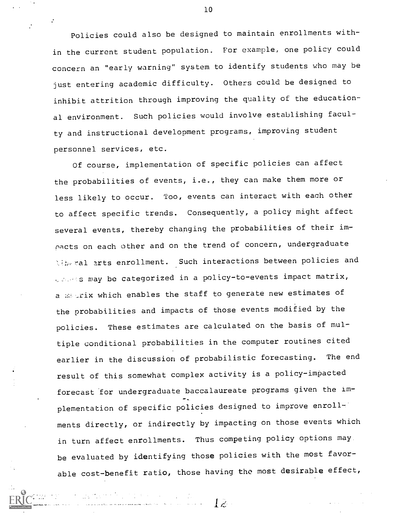Policies could also be designed to maintain enrollments within the current student population. For example, one policy could concern an "early warning" system to identify students who may be just entering academic difficulty. Others could be designed to inhibit attrition through improving the quality of the educational environment. Such policies would involve establishing faculty and instructional development programs, improving student personnel services, etc.

Of course, implementation of specific policies can affect the probabilities of events, i.e., they can make them more or less likely to occur. Too, events can interact with each other to affect specific trends. Consequently, a policy might affect several events, thereby changing the probabilities of their impacts on each other and on the trend of concern, undergraduate Wal arts enrollment. Such interactions between policies and may be categorized in a policy-to-events impact matrix, a metrix which enables the staff to generate new estimates of the probabilities and impacts of those events modified by the policies. These estimates are calculated on the basis of multiple conditional probabilities in the computer routines cited earlier in the discussion of probabilistic forecasting. The end result of this somewhat complex activity is a policy-impacted forecast for undergraduate baccalaureate programs given the implementation of specific policies designed to improve enrollments directly, or indirectly by impacting on those events which in turn affect enrollments. Thus competing policy options may be evaluated by identifying those policies with the most favorable cost-benefit ratio, those having the most desirable effect,

10

 $1 \times$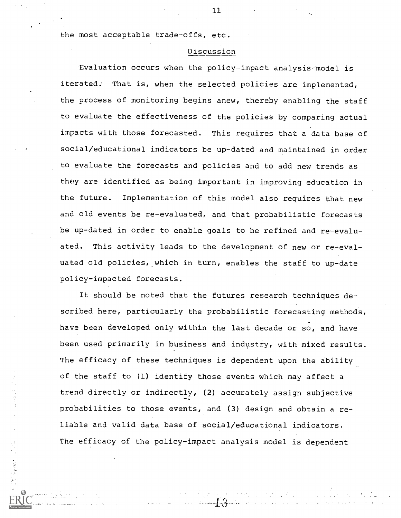the most acceptable trade-offs, etc.

### Discussion

Evaluation occurs when the policy-impact analysis model is iterated. That is, when the selected policies are implemented, the process of monitoring begins anew, thereby enabling the staff to evaluate the effectiveness of the policies by comparing actual impacts with those forecasted. This requires that a data base of social/educational indicators be up-dated and maintained in order to evaluate the forecasts and policies and to add new trends as they are identified as being important in improving education in the future. Implementation of this model also requires that new and old events be re-evaluated, and that probabilistic forecasts be up-dated in order to enable goals to be refined and re-evaluated. This activity leads to the development of new or re-evaluated old policies, which in turn, enables the staff to up-date policy-impacted forecasts.

It should be noted that the futures research techniques described here, particularly the probabilistic forecasting methods, have been developed only within the last decade or so, and have been used primarily in business and industry, with mixed results. The efficacy of these techniques is dependent upon the ability of the staff to (1) identify those events which may affect a trend directly or indirectly, (2) accurately assign subjective probabilities to those events, and (3) design and obtain a reliable and valid data base of social/educational indicators. The efficacy of the policy-impact analysis model is dependent

法保证 医雄蕊 附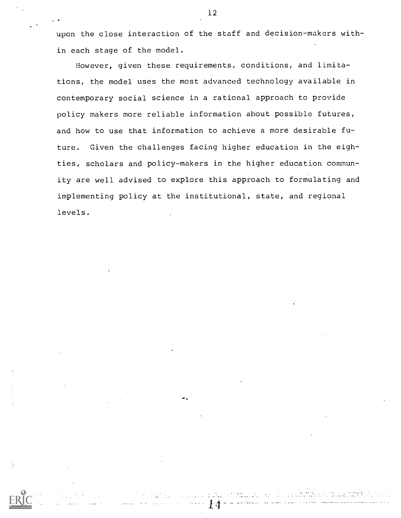upon the close interaction of the staff and decision-makers within each stage of the model.

However, given these requirements, conditions, and limitations, the model uses the most advanced technology available in contemporary social science in a rational approach to provide policy makers more reliable information about possible futures, and how to use that information to achieve a more desirable future. Given the challenges facing higher education in the eighties, scholars and policy-makers in the higher education community are well advised to explore this approach to formulating and implementing policy at the institutional, state, and regional levels.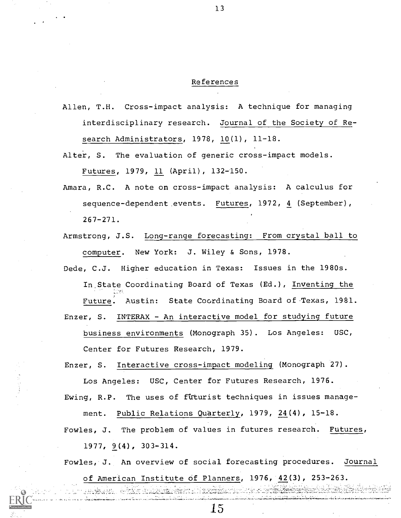### References

Allen, T.H. Cross-impact analysis: A technique for managing interdisciplinary research. Journal of the Society of Research Administrators, 1978, 10(1), 11-18.

Alter, S. The evaluation of generic cross-impact models.

Futures, 1979, 11 (April), 132-150.

- Amara, R.C. A note on cross-impact analysis: A calculus for sequence-dependent events. Futures, 1972, 4 (September), 267-271.
- Armstrong, J.S. Long-range forecasting: From crystal ball to computer. New York: J. Wiley & Sons, 1978.

Dede, C.J. Higher education in Texas: Issues in the 1980s.

In,State Coordinating Board of Texas (Ed.), Inventing the Future. Austin: State Coordinating Board of Texas, 1981.

Enzer, S. INTERAX - An interactive model for studying future

business environments (Monograph 35). Los Angeles: USC, Center for Futures Research, 1979.

Enzer, S. Interactive cross-impact modeling (Monograph 27).

Los Angeles: USC, Center for Futures Research, 1976.

Ewing, R.P. The uses of futurist techniques in issues manage-

ment. Public Relations Quarterly, 1979, 24(4), 15-18. Fowles, J. The problem of values in futures research. Futures,

1977, 9(4), 303-314.

Fowles, J. An overview of social forecasting procedures. Journal

, , i ---

of American Institute of Planners, 1976, 42(3), 253-263.

1.J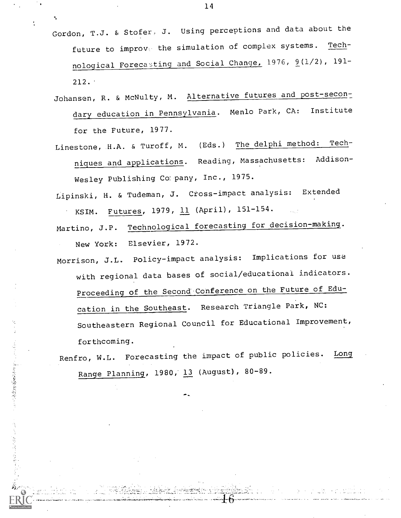Gordon, T.J. & Stofer, J. Using perceptions and data about the future to improve the simulation of complex systems. Technological Forecasting and Social Change, 1976, 9(1/2), 191-212..

- Johansen, R. & McNulty, M. Alternative futures and post-secondary education in Pennsylvania. Menlo Park, CA: Institute for the Future, 1977.
- Linestone, H.A. & Turoff, M. (Eds.) The delphi method: Techniques and applications. Reading, Massachusetts: Addison-Wesley Publishing Co: pany, Inc., 1975.

Lipinski, H. & Tudeman, J. Cross-impact analysis: Extended KSIM. Futures, 1979, 11 (April), 151-154.

Martino, J.P. Technological forecasting for decision-making. New York: Elsevier, 1972.

Morrison, J.L. Policy-impact analysis: Implications for use with regional data bases of social/educational indicators. Proceeding of the Second Conference on the Future of Education in the Southeast. Research Triangle Park, NC: Southeastern Regional Council for Educational Improvement, forthcoming.

Renfro, W.L. Forecasting the impact of public policies. Long Range Planning, 1980, 13 (August), 80-89.

**ないことには、「このことに、「神宮神経を経てる程度がある」ということになっているのです。今年は、「**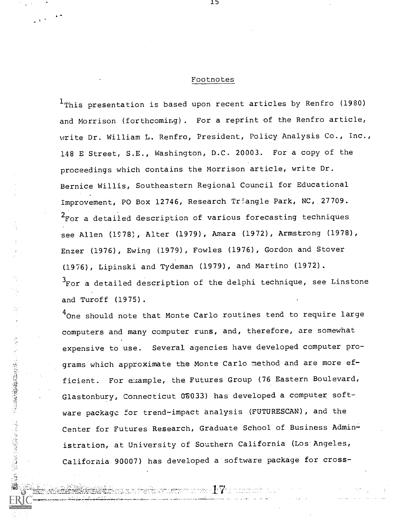# Footnotes

 $1$ This presentation is based upon recent articles by Renfro (1980) and Morrison (forthcoming). For a reprint of the Renfro article, write Dr. William L. Renfro, President, Policy Analysis Co., Inc., 148 E Street, S.E., Washington, D.C. 20003. For a copy of the proceedings which contains the Morrison article, write Dr. Bernice Willis, Southeastern Regional Council for Educational Improvement, PO Box 12746, Research Triangle Park, NC, 27709.  $2_{\text{For a detailed description of various forecasting techniques}$ see Allen (1978), Alter (1979), Amara (1972), Armstrong (1978), Enzer (1976), Ewing (1979), Fowles (1976), Gordon and Stover (1976), Lipinski and Tydeman (1979), and Martino (1972). <sup>3</sup>For a detailed description of the delphi technique, see Linstone and Turoff (1975).

<sup>4</sup>One should note that Monte Carlo routines tend to require large computers and many computer runs, and, therefore, are somewhat expensive to use. Several agencies have developed computer programs which approximate the Monte Carlo method and are more efficient. For example, the Futures Group (76 Eastern Boulevard, Glastonbury, Connecticut 06033) has developed a computer software package for trend-impact analysis (FUTURESCAN), and the Center for Futures Research, Graduate School of Business Administration, at University of Southern California (Los Angeles, California 90007) has developed a software package for cross-

where the state  $1.7\,$  and the state

- 中に、イントラインには後の家庭の構築を置けた、日常は自治学校の受け物の意味

ŢP